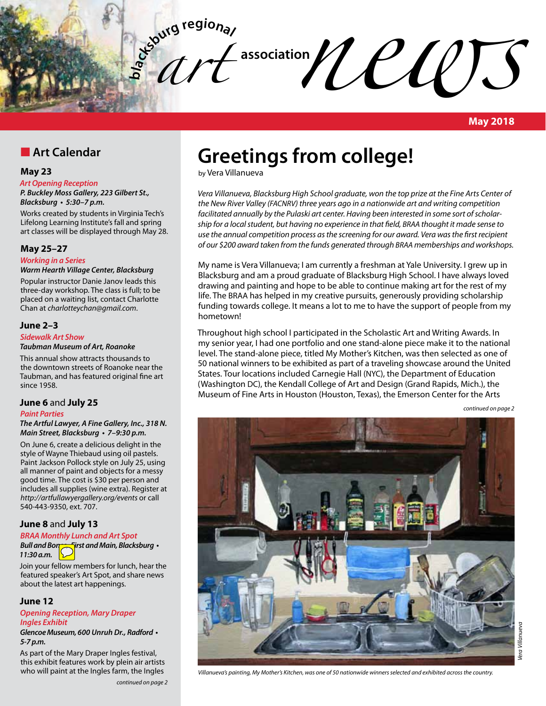

#### **May 2018**

### **n** Art Calendar

#### **May 23**

#### *Art Opening Reception*

*P. Buckley Moss Gallery, 223 Gilbert St.,*  **Blacksburg • 5:30–7 p.m.**

Works created by students in Virginia Tech's Lifelong Learning Institute's fall and spring art classes will be displayed through May 28.

#### **May 25–27**

*Working in a Series*

#### **Warm Hearth Village Center, Blacksburg**

Popular instructor Danie Janov leads this three-day workshop. The class is full; to be placed on a waiting list, contact Charlotte Chan at *charlotteychan@gmail.com*.

#### **June 2–3**

#### **Sidewalk Art Show**

#### **Taubman Museum of Art, Roanoke**

This annual show attracts thousands to the downtown streets of Roanoke near the Taubman, and has featured original fine art since 1958.

#### **June 6** and **July 25**

#### *Paint Parties*

#### **The Artful Lawyer, A Fine Gallery, Inc., 318 N. Main Street, Blacksburg • 7–9:30 p.m.**

On June 6, create a delicious delight in the style of Wayne Thiebaud using oil pastels. Paint Jackson Pollock style on July 25, using all manner of paint and objects for a messy good time. The cost is \$30 per person and includes all supplies (wine extra). Register at *http://artfullawyergallery.org/events* or call 540-443-9350, ext. 707.

#### **June 8** and **July 13**

#### **BRAA Monthly Lunch and Art Spot**

**Bull and Bones, First and Main, Blacksburg • 11:30 a.m.**

Join your fellow members for lunch, hear the featured speaker's Art Spot, and share news about the latest art happenings.

#### **June 12**

#### *Opening Reception, Mary Draper*  **Ingles Exhibit**

**Glencoe Museum, 600 Unruh Dr., Radford • 5-7 p.m.**

As part of the Mary Draper Ingles festival, this exhibit features work by plein air artists who will paint at the Ingles farm, the Ingles

# **Greetings from college!**

by Vera Villanueva

*Vera Villanueva, Blacksburg High School graduate, won the top prize at the Fine Arts Center of the New River Valley (FACNRV) three years ago in a nationwide art and writing competition facilitated annually by the Pulaski art center. Having been interested in some sort of scholarship for a local student, but having no experience in that field, BRAA thought it made sense to use the annual competition process as the screening for our award. Vera was the first recipient of our \$200 award taken from the funds generated through BRAA memberships and workshops.*

My name is Vera Villanueva; I am currently a freshman at Yale University. I grew up in Blacksburg and am a proud graduate of Blacksburg High School. I have always loved drawing and painting and hope to be able to continue making art for the rest of my life. The BRAA has helped in my creative pursuits, generously providing scholarship funding towards college. It means a lot to me to have the support of people from my hometown!

Throughout high school I participated in the Scholastic Art and Writing Awards. In my senior year, I had one portfolio and one stand-alone piece make it to the national level. The stand-alone piece, titled My Mother's Kitchen, was then selected as one of 50 national winners to be exhibited as part of a traveling showcase around the United States. Tour locations included Carnegie Hall (NYC), the Department of Education (Washington DC), the Kendall College of Art and Design (Grand Rapids, Mich.), the Museum of Fine Arts in Houston (Houston, Texas), the Emerson Center for the Arts

*continued on page 2*

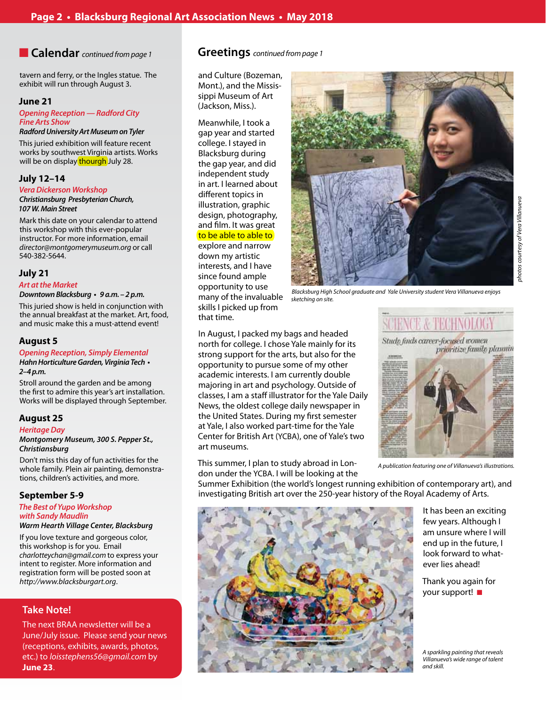tavern and ferry, or the Ingles statue. The exhibit will run through August 3.

#### **June 21**

#### **Opening Reception — Radford City Fine Arts Show**

#### **Radford University Art Museum on Tyler**

This juried exhibition will feature recent works by southwest Virginia artists. Works will be on display thourgh July 28.

#### **July 12–14**

#### **Vera Dickerson Workshop Christiansburg Presbyterian Church, 107 W. Main Street**

Mark this date on your calendar to attend this workshop with this ever-popular instructor. For more information, email *director@montgomerymuseum.org* or call 540-382-5644.

#### **July 21**

#### **Art at the Market**

#### **Downtown Blacksburg • 9 a.m. – 2 p.m.**

This juried show is held in conjunction with the annual breakfast at the market. Art, food, and music make this a must-attend event!

#### **August 5**

#### **Opening Reception, Simply Elemental**

**Hahn Horticulture Garden, Virginia Tech • 2–4 p.m.**

Stroll around the garden and be among the first to admire this year's art installation. Works will be displayed through September.

#### **August 25**

#### **Heritage Day Montgomery Museum, 300 S. Pepper St., Christiansburg**

Don't miss this day of fun activities for the whole family. Plein air painting, demonstrations, children's activities, and more.

#### **September 5-9**

#### **The Best of Yupo Workshop with Sandy Maudlin Warm Hearth Village Center, Blacksburg**

If you love texture and gorgeous color, this workshop is for you. Email *charlotteychan@gmail.com* to express your intent to register. More information and registration form will be posted soon at *http://www.blacksburgart.org*.

### **Take Note!**

The next BRAA newsletter will be a June/July issue. Please send your news (receptions, exhibits, awards, photos, etc.) to *loisstephens56@gmail.com* by **June 23**.

#### n **Calendar** *continued from page 1* **Greetings** *continued from page 1*

and Culture (Bozeman, Mont.), and the Mississippi Museum of Art (Jackson, Miss.).

Meanwhile, I took a gap year and started college. I stayed in Blacksburg during the gap year, and did independent study in art. I learned about different topics in illustration, graphic design, photography, and film. It was great to be able to able to explore and narrow

down my artistic interests, and I have since found ample opportunity to use many of the invaluable skills I picked up from that time.



*Blacksburg High School graduate and Yale University student Vera Villanueva enjoys sketching on site.*

In August, I packed my bags and headed north for college. I chose Yale mainly for its strong support for the arts, but also for the opportunity to pursue some of my other academic interests. I am currently double majoring in art and psychology. Outside of classes, I am a staff illustrator for the Yale Daily News, the oldest college daily newspaper in the United States. During my first semester at Yale, I also worked part-time for the Yale Center for British Art (YCBA), one of Yale's two art museums.

This summer, I plan to study abroad in London under the YCBA. I will be looking at the

Summer Exhibition (the world's longest running exhibition of contemporary art), and

investigating British art over the 250-year history of the Royal Academy of Arts.



It has been an exciting few years. Although I am unsure where I will end up in the future, I look forward to whatever lies ahead!

Thank you again for your support!  $\blacksquare$ 

*A sparkling painting that reveals Villanueva's wide range of talent and skill.*



NGE AGHENOLOG

*A publication featuring one of Villanueva's illustrations.*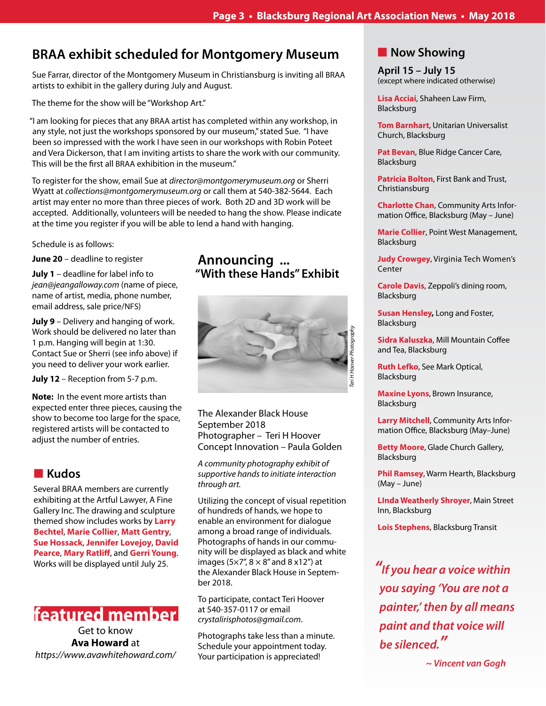### **BRAA exhibit scheduled for Montgomery Museum**

Sue Farrar, director of the Montgomery Museum in Christiansburg is inviting all BRAA artists to exhibit in the gallery during July and August.

The theme for the show will be "Workshop Art."

"I am looking for pieces that any BRAA artist has completed within any workshop, in any style, not just the workshops sponsored by our museum," stated Sue. "I have been so impressed with the work I have seen in our workshops with Robin Poteet and Vera Dickerson, that I am inviting artists to share the work with our community. This will be the first all BRAA exhibition in the museum."

To register for the show, email Sue at *director@montgomerymuseum.org* or Sherri Wyatt at *collections@montgomerymuseum.org* or call them at 540-382-5644. Each artist may enter no more than three pieces of work. Both 2D and 3D work will be accepted. Additionally, volunteers will be needed to hang the show. Please indicate at the time you register if you will be able to lend a hand with hanging.

Schedule is as follows:

**June 20** – deadline to register

**July 1** – deadline for label info to *jean@jeangalloway.com* (name of piece, name of artist, media, phone number, email address, sale price/NFS)

**July 9** – Delivery and hanging of work. Work should be delivered no later than 1 p.m. Hanging will begin at 1:30. Contact Sue or Sherri (see info above) if you need to deliver your work earlier.

**July 12** – Reception from 5-7 p.m.

**Note:** In the event more artists than expected enter three pieces, causing the show to become too large for the space, registered artists will be contacted to adjust the number of entries.

### **n** Kudos

Several BRAA members are currently exhibiting at the Artful Lawyer, A Fine Gallery Inc. The drawing and sculpture themed show includes works by **Larry Bechtel**, **Marie Collier**, **Matt Gentry**, **Sue Hossack**, **Jennifer Lovejoy**, **David Pearce**, **Mary Ratliff**, and **Gerri Young**. Works will be displayed until July 25.

## **featured member**

Get to know **Ava Howard** at *https://www.avawhitehoward.com/*

### **Announcing ... "With these Hands" Exhibit**



The Alexander Black House September 2018 Photographer – Teri H Hoover Concept Innovation – Paula Golden

*A community photography exhibit of supportive hands to initiate interaction through art.* 

Utilizing the concept of visual repetition of hundreds of hands, we hope to enable an environment for dialogue among a broad range of individuals. Photographs of hands in our community will be displayed as black and white images ( $5\times7$ ",  $8\times8$ " and  $8\times12$ ") at the Alexander Black House in September 2018.

To participate, contact Teri Hoover at 540-357-0117 or email *crystalirisphotos@gmail.com*.

Photographs take less than a minute. Schedule your appointment today. Your participation is appreciated!

### **Now Showing**

**April 15 – July 15** (except where indicated otherwise)

**Lisa Acciai**, Shaheen Law Firm, Blacksburg

**Tom Barnhart**, Unitarian Universalist Church, Blacksburg

**Pat Bevan**, Blue Ridge Cancer Care, Blacksburg

**Patricia Bolton**, First Bank and Trust, Christiansburg

**Charlotte Chan**, Community Arts Information Office, Blacksburg (May – June)

**Marie Collier**, Point West Management, Blacksburg

**Judy Crowgey**, Virginia Tech Women's Center

**Carole Davis**, Zeppoli's dining room, Blacksburg

**Susan Hensley,** Long and Foster, Blacksburg

**Sidra Kaluszka**, Mill Mountain Coffee and Tea, Blacksburg

**Ruth Lefko**, See Mark Optical, Blacksburg

**Maxine Lyons**, Brown Insurance, Blacksburg

**Larry Mitchell**, Community Arts Information Office, Blacksburg (May–June)

**Betty Moore**, Glade Church Gallery, Blacksburg

**Phil Ramsey**, Warm Hearth, Blacksburg (May – June)

**LInda Weatherly Shroyer**, Main Street Inn, Blacksburg

**Lois Stephens**, Blacksburg Transit

*"***If you hear a voice within you saying 'You are not a painter,' then by all means paint and that voice will**  *be silenced."*

 **~ Vincent van Gogh**